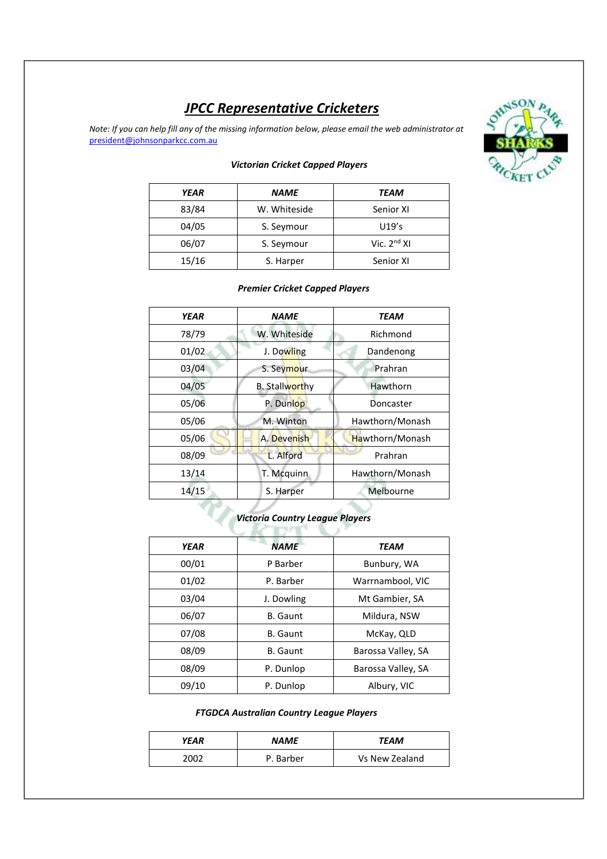# *JPCC Representative Cricketers*

*Note: If you can help fill any of the missing information below, please email the web administrator at* president@johnsonparkcc.com.au



#### *Victorian Cricket Capped Players*

| <b>YEAR</b> | <b>NAME</b>  | TEAM             |
|-------------|--------------|------------------|
| 83/84       | W. Whiteside | Senior XI        |
| 04/05       | S. Seymour   | U19's            |
| 06/07       | S. Seymour   | Vic. $2^{nd}$ XI |
| 15/16       | S. Harper    | Senior XI        |

#### *Premier Cricket Capped Players*

| <b>YEAR</b> | <b>NAME</b>            | <b>TEAM</b>     |
|-------------|------------------------|-----------------|
| 78/79       | W. Whiteside           | Richmond        |
| 01/02       | J. Dowling             | Dandenong       |
| 03/04       | S. Seymour             | Prahran         |
| 04/05       | <b>B.</b> Stallworthy  | Hawthorn        |
| 05/06       | P. Dunlop              | Doncaster       |
| 05/06       | M. Winton              | Hawthorn/Monash |
| 05/06       | A. Devenish            | Hawthorn/Monash |
| 08/09       | L. Alford              | Prahran         |
| 13/14       | T. Mcquinn             | Hawthorn/Monash |
| 14/15       | Melbourne<br>S. Harper |                 |

# *Victoria Country League Players*

| <b>YEAR</b> | <b>NAME</b>                   | <b>TEAM</b>        |  |
|-------------|-------------------------------|--------------------|--|
| 00/01       | P Barber<br>Bunbury, WA       |                    |  |
| 01/02       | Warrnambool, VIC<br>P. Barber |                    |  |
| 03/04       | J. Dowling<br>Mt Gambier, SA  |                    |  |
| 06/07       | <b>B.</b> Gaunt               | Mildura, NSW       |  |
| 07/08       | <b>B.</b> Gaunt<br>McKay, QLD |                    |  |
| 08/09       | <b>B.</b> Gaunt               | Barossa Valley, SA |  |
| 08/09       | P. Dunlop                     | Barossa Valley, SA |  |
| 09/10       | P. Dunlop                     | Albury, VIC        |  |

#### *FTGDCA Australian Country League Players*

| YEAR | <b>NAME</b> | TEAM           |
|------|-------------|----------------|
| 2002 | P. Barber   | Vs New Zealand |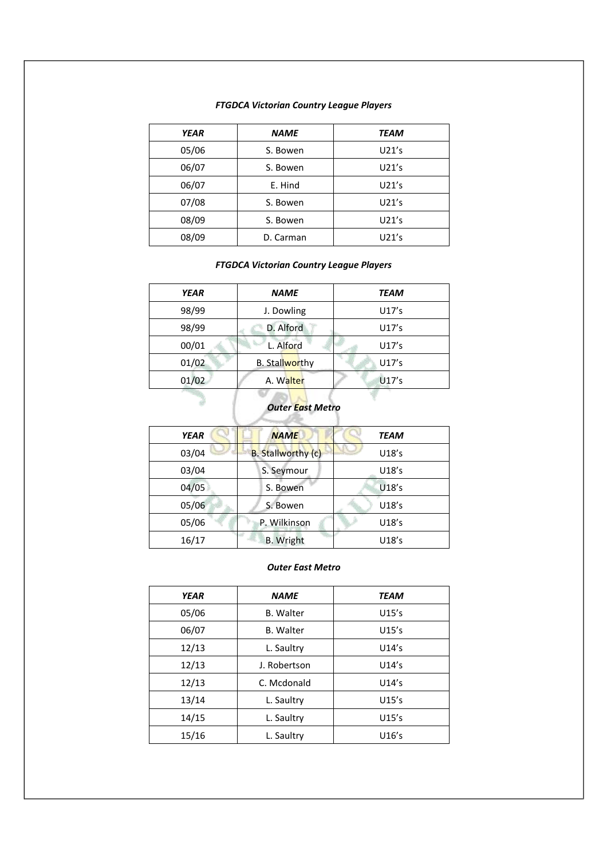#### *FTGDCA Victorian Country League Players*

| <b>YEAR</b> | <b>NAME</b> | TEAM  |
|-------------|-------------|-------|
| 05/06       | S. Bowen    | U21's |
| 06/07       | S. Bowen    | U21's |
| 06/07       | E. Hind     | U21's |
| 07/08       | S. Bowen    | U21's |
| 08/09       | S. Bowen    | U21's |
| 08/09       | D. Carman   | U21's |

#### *FTGDCA Victorian Country League Players*

| <b>YEAR</b> | <b>NAME</b>           | TEAM  |
|-------------|-----------------------|-------|
| 98/99       | J. Dowling            | U17's |
| 98/99       | D. Alford             | U17's |
| 00/01       | L. Alford             | U17's |
| 01/02       | <b>B.</b> Stallworthy | U17's |
| 01/02       | A. Walter             | U17's |
|             | Outor East Matro      |       |

## *Outer East Metro* B

| <b>YEAR</b> | <b>NAME</b>               | TEAM  |  |
|-------------|---------------------------|-------|--|
| 03/04       | <b>B.</b> Stallworthy (c) | U18's |  |
| 03/04       | S. Seymour                | U18's |  |
| 04/05       | S. Bowen                  | U18's |  |
| 05/06       | S. Bowen                  | U18's |  |
| 05/06       | P. Wilkinson              | U18's |  |
| 16/17       | <b>B.</b> Wright          | U18's |  |

#### *Outer East Metro*

| <b>YEAR</b>                  | <b>NAME</b>      | <b>TEAM</b> |
|------------------------------|------------------|-------------|
| 05/06                        | <b>B.</b> Walter | U15's       |
| 06/07                        | <b>B.</b> Walter | U15's       |
| 12/13<br>U14's<br>L. Saultry |                  |             |
| 12/13                        | J. Robertson     | U14's       |
| 12/13                        | C. Mcdonald      | U14's       |
| 13/14                        | L. Saultry       | U15's       |
| 14/15                        | L. Saultry       | U15's       |
| 15/16                        | L. Saultry       | U16's       |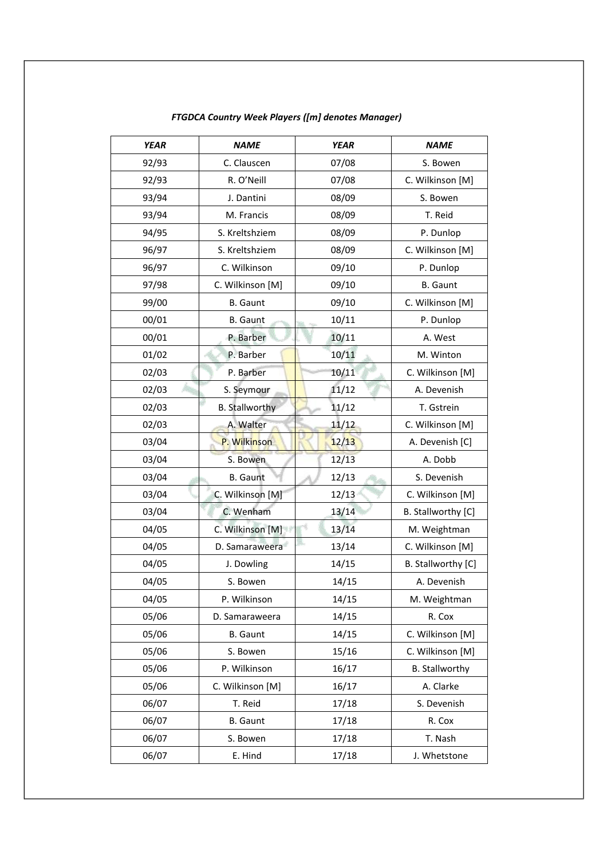| <b>YEAR</b> | <b>NAME</b>           | <b>YEAR</b> | <b>NAME</b>           |
|-------------|-----------------------|-------------|-----------------------|
| 92/93       | C. Clauscen           | 07/08       | S. Bowen              |
| 92/93       | R. O'Neill            | 07/08       | C. Wilkinson [M]      |
| 93/94       | J. Dantini            | 08/09       | S. Bowen              |
| 93/94       | M. Francis            | 08/09       | T. Reid               |
| 94/95       | S. Kreltshziem        | 08/09       | P. Dunlop             |
| 96/97       | S. Kreltshziem        | 08/09       | C. Wilkinson [M]      |
| 96/97       | C. Wilkinson          | 09/10       | P. Dunlop             |
| 97/98       | C. Wilkinson [M]      | 09/10       | <b>B.</b> Gaunt       |
| 99/00       | <b>B.</b> Gaunt       | 09/10       | C. Wilkinson [M]      |
| 00/01       | <b>B.</b> Gaunt       | 10/11       | P. Dunlop             |
| 00/01       | P. Barber             | 10/11       | A. West               |
| 01/02       | P. Barber             | 10/11       | M. Winton             |
| 02/03       | P. Barber             | 10/11       | C. Wilkinson [M]      |
| 02/03       | S. Seymour            | 11/12       | A. Devenish           |
| 02/03       | <b>B.</b> Stallworthy | 11/12       | T. Gstrein            |
| 02/03       | A. Walter             | 11/12       | C. Wilkinson [M]      |
| 03/04       | P. Wilkinson          | 12/13       | A. Devenish [C]       |
| 03/04       | S. Bowen              | 12/13       | A. Dobb               |
| 03/04       | <b>B.</b> Gaunt       | 12/13       | S. Devenish           |
| 03/04       | C. Wilkinson [M]      | 12/13       | C. Wilkinson [M]      |
| 03/04       | C. Wenham             | 13/14       | B. Stallworthy [C]    |
| 04/05       | C. Wilkinson [M]      | 13/14       | M. Weightman          |
| 04/05       | D. Samaraweera        | 13/14       | C. Wilkinson [M]      |
| 04/05       | J. Dowling            | 14/15       | B. Stallworthy [C]    |
| 04/05       | S. Bowen              | 14/15       | A. Devenish           |
| 04/05       | P. Wilkinson          | 14/15       | M. Weightman          |
| 05/06       | D. Samaraweera        | 14/15       | R. Cox                |
| 05/06       | <b>B.</b> Gaunt       | 14/15       | C. Wilkinson [M]      |
| 05/06       | S. Bowen              | 15/16       | C. Wilkinson [M]      |
| 05/06       | P. Wilkinson          | 16/17       | <b>B. Stallworthy</b> |
| 05/06       | C. Wilkinson [M]      | 16/17       | A. Clarke             |
| 06/07       | T. Reid               | 17/18       | S. Devenish           |
| 06/07       | <b>B.</b> Gaunt       | 17/18       | R. Cox                |
| 06/07       | S. Bowen              | 17/18       | T. Nash               |
| 06/07       | E. Hind               | 17/18       | J. Whetstone          |

### *FTGDCA Country Week Players ([m] denotes Manager)*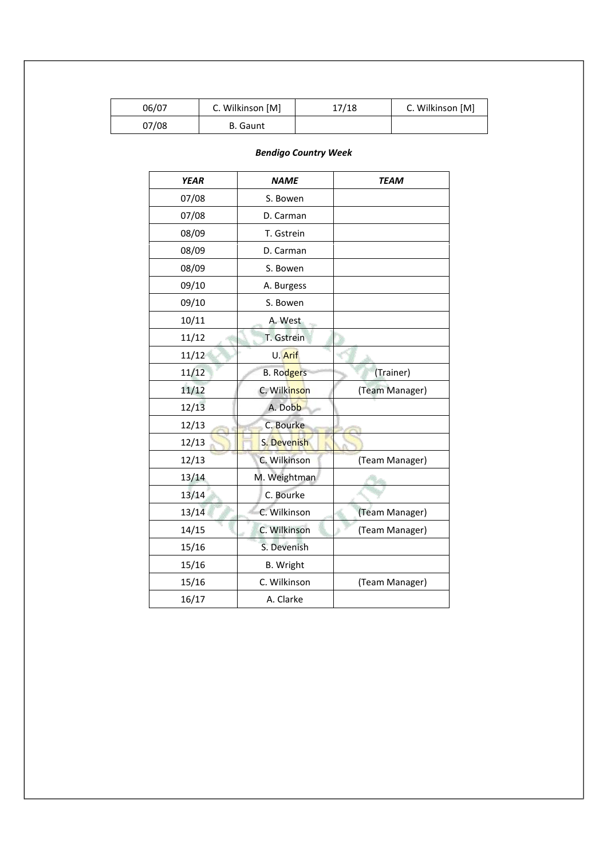| 06/07 | C. Wilkinson [M] | 17/18 | C. Wilkinson [M] |
|-------|------------------|-------|------------------|
| 07/08 | <b>B.</b> Gaunt  |       |                  |

#### *Bendigo Country Week*

| <b>YEAR</b> | <b>NAME</b>       | <b>TEAM</b>    |  |
|-------------|-------------------|----------------|--|
| 07/08       | S. Bowen          |                |  |
| 07/08       | D. Carman         |                |  |
| 08/09       | T. Gstrein        |                |  |
| 08/09       | D. Carman         |                |  |
| 08/09       | S. Bowen          |                |  |
| 09/10       | A. Burgess        |                |  |
| 09/10       | S. Bowen          |                |  |
| 10/11       | A. West           |                |  |
| 11/12       | T. Gstrein        |                |  |
| 11/12       | U. Arif           |                |  |
| 11/12       | <b>B.</b> Rodgers | (Trainer)      |  |
| 11/12       | C. Wilkinson      | (Team Manager) |  |
| 12/13       | A. Dobb           |                |  |
| 12/13       | C. Bourke         |                |  |
| 12/13       | S. Devenish       |                |  |
| 12/13       | C. Wilkinson      | (Team Manager) |  |
| 13/14       | M. Weightman      |                |  |
| 13/14       | C. Bourke         |                |  |
| 13/14       | C. Wilkinson      | (Team Manager) |  |
| 14/15       | C. Wilkinson      | (Team Manager) |  |
| 15/16       | S. Devenish       |                |  |
| 15/16       | <b>B.</b> Wright  |                |  |
| 15/16       | C. Wilkinson      | (Team Manager) |  |
| 16/17       | A. Clarke         |                |  |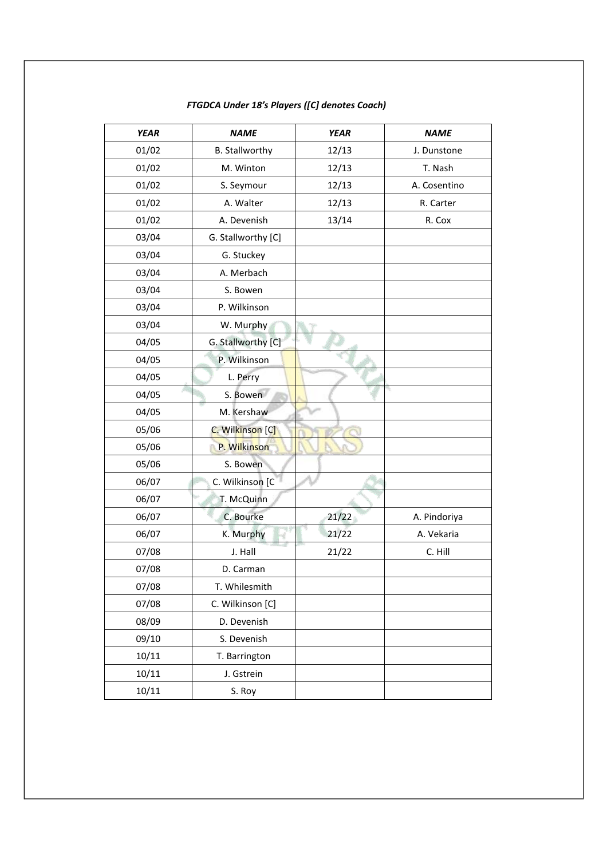| <b>YEAR</b> | <b>NAME</b>           | <b>YEAR</b> | <b>NAME</b>  |
|-------------|-----------------------|-------------|--------------|
| 01/02       | <b>B. Stallworthy</b> | 12/13       | J. Dunstone  |
| 01/02       | M. Winton             | 12/13       | T. Nash      |
| 01/02       | S. Seymour            | 12/13       | A. Cosentino |
| 01/02       | A. Walter             | 12/13       | R. Carter    |
| 01/02       | A. Devenish           | 13/14       | R. Cox       |
| 03/04       | G. Stallworthy [C]    |             |              |
| 03/04       | G. Stuckey            |             |              |
| 03/04       | A. Merbach            |             |              |
| 03/04       | S. Bowen              |             |              |
| 03/04       | P. Wilkinson          |             |              |
| 03/04       | W. Murphy             |             |              |
| 04/05       | G. Stallworthy [C]    |             |              |
| 04/05       | P. Wilkinson          |             |              |
| 04/05       | L. Perry              |             |              |
| 04/05       | S. Bowen              |             |              |
| 04/05       | M. Kershaw            |             |              |
| 05/06       | C. Wilkinson [C]      |             |              |
| 05/06       | P. Wilkinson          |             |              |
| 05/06       | S. Bowen              |             |              |
| 06/07       | C. Wilkinson [C       |             |              |
| 06/07       | T. McQuinn            |             |              |
| 06/07       | C. Bourke             | 21/22       | A. Pindoriya |
| 06/07       | 写户<br>K. Murphy       | 21/22       | A. Vekaria   |
| 07/08       | J. Hall               | 21/22       | C. Hill      |
| 07/08       | D. Carman             |             |              |
| 07/08       | T. Whilesmith         |             |              |
| 07/08       | C. Wilkinson [C]      |             |              |
| 08/09       | D. Devenish           |             |              |
| 09/10       | S. Devenish           |             |              |
| 10/11       | T. Barrington         |             |              |
| 10/11       | J. Gstrein            |             |              |
| 10/11       | S. Roy                |             |              |

#### *FTGDCA Under 18's Players ([C] denotes Coach)*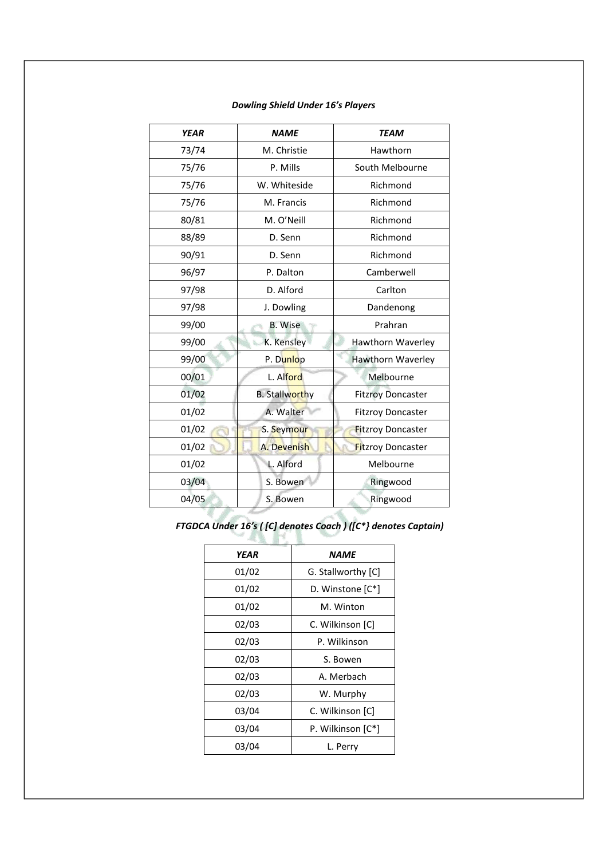| <b>YEAR</b> | <b>NAME</b>           | <b>TEAM</b>              |
|-------------|-----------------------|--------------------------|
| 73/74       | M. Christie           | Hawthorn                 |
| 75/76       | P. Mills              | South Melbourne          |
| 75/76       | W. Whiteside          | Richmond                 |
| 75/76       | M. Francis            | Richmond                 |
| 80/81       | M. O'Neill            | Richmond                 |
| 88/89       | D. Senn               | Richmond                 |
| 90/91       | D. Senn               | Richmond                 |
| 96/97       | P. Dalton             | Camberwell               |
| 97/98       | D. Alford             | Carlton                  |
| 97/98       | J. Dowling            | Dandenong                |
| 99/00       | <b>B.</b> Wise        | Prahran                  |
| 99/00       | K. Kensley            | Hawthorn Waverley        |
| 99/00       | P. Dunlop             | Hawthorn Waverley        |
| 00/01       | L. Alford             | Melbourne                |
| 01/02       | <b>B. Stallworthy</b> | <b>Fitzroy Doncaster</b> |
| 01/02       | A. Walter             | <b>Fitzroy Doncaster</b> |
| 01/02       | S. Seymour            | <b>Fitzroy Doncaster</b> |
| 01/02       | A. Devenish           | <b>Fitzroy Doncaster</b> |
| 01/02       | L. Alford             | Melbourne                |
| 03/04       | S. Bowen              | Ringwood                 |
| 04/05       | S. Bowen              | Ringwood                 |
|             |                       |                          |

#### *Dowling Shield Under 16's Players*

*FTGDCA Under 16's ( [C] denotes Coach ) ([C\*} denotes Captain)*

| YEAR  | <i><b>NAME</b></i> |
|-------|--------------------|
| 01/02 | G. Stallworthy [C] |
| 01/02 | D. Winstone [C*]   |
| 01/02 | M. Winton          |
| 02/03 | C. Wilkinson [C]   |
| 02/03 | P. Wilkinson       |
| 02/03 | S. Bowen           |
| 02/03 | A. Merbach         |
| 02/03 | W. Murphy          |
| 03/04 | C. Wilkinson [C]   |
| 03/04 | P. Wilkinson [C*]  |
| 03/04 | L. Perry           |
|       |                    |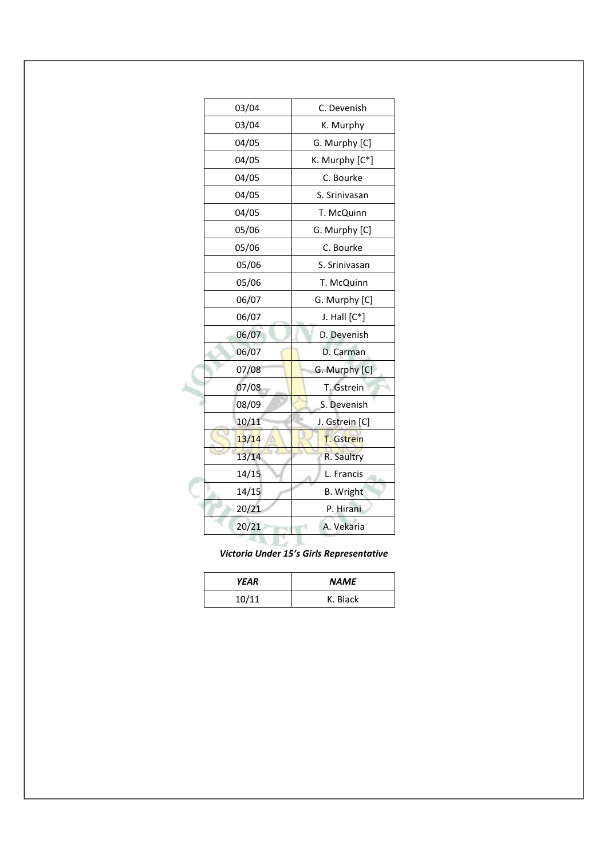| 03/04 | C. Devenish       |
|-------|-------------------|
| 03/04 | K. Murphy         |
| 04/05 | G. Murphy [C]     |
| 04/05 | K. Murphy [C*]    |
| 04/05 | C. Bourke         |
| 04/05 | S. Srinivasan     |
| 04/05 | T. McQuinn        |
| 05/06 | G. Murphy [C]     |
| 05/06 | C. Bourke         |
| 05/06 | S. Srinivasan     |
| 05/06 | T. McQuinn        |
| 06/07 | G. Murphy [C]     |
| 06/07 | J. Hall $[C^*]$   |
| 06/07 | D. Devenish       |
| 06/07 | D. Carman         |
| 07/08 | G. Murphy [C]     |
| 07/08 | T. Gstrein        |
| 08/09 | S. Devenish       |
| 10/11 | J. Gstrein [C]    |
| 13/14 | <b>T.</b> Gstrein |
| 13/14 | R. Saultry        |
| 14/15 | L. Francis        |
| 14/15 | <b>B.</b> Wright  |
| 20/21 | P. Hirani         |
| 20/21 | A. Vekaria        |
|       |                   |

*Victoria Under 15's Girls Representative*

| YEAR  | <b>NAME</b> |
|-------|-------------|
| 10/11 | K. Black    |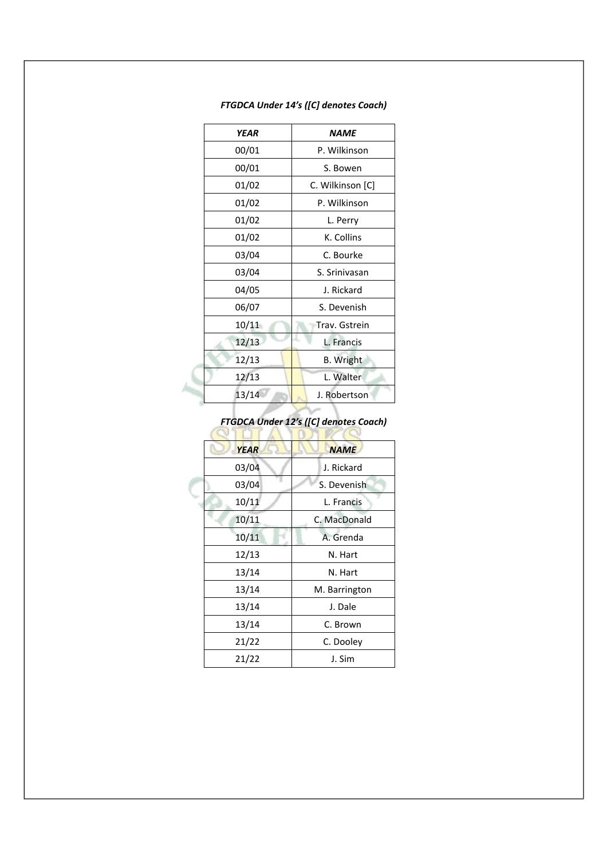| <b>YEAR</b> | <i><b>NAME</b></i> |
|-------------|--------------------|
| 00/01       | P. Wilkinson       |
| 00/01       | S. Bowen           |
| 01/02       | C. Wilkinson [C]   |
| 01/02       | P. Wilkinson       |
| 01/02       | L. Perry           |
| 01/02       | K. Collins         |
| 03/04       | C. Bourke          |
| 03/04       | S. Srinivasan      |
| 04/05       | J. Rickard         |
| 06/07       | S. Devenish        |
| 10/11       | Trav. Gstrein      |
| 12/13       | L. Francis         |
| 12/13       | <b>B.</b> Wright   |
| 12/13       | L. Walter          |
| 13/14       | J. Robertson       |

### *FTGDCA Under 14's ([C] denotes Coach)*

# *FTGDCA Under 12's ([C] denotes Coach)*

| <b>YEAR</b> | <b>NAME</b>   |
|-------------|---------------|
| 03/04       | J. Rickard    |
| 03/04       | S. Devenish   |
| 10/11       | L. Francis    |
| 10/11       | C. MacDonald  |
| 10/11       | A. Grenda     |
| 12/13       | N. Hart       |
| 13/14       | N. Hart       |
| 13/14       | M. Barrington |
| 13/14       | J. Dale       |
| 13/14       | C. Brown      |
| 21/22       | C. Dooley     |
| 21/22       | J. Sim        |
|             |               |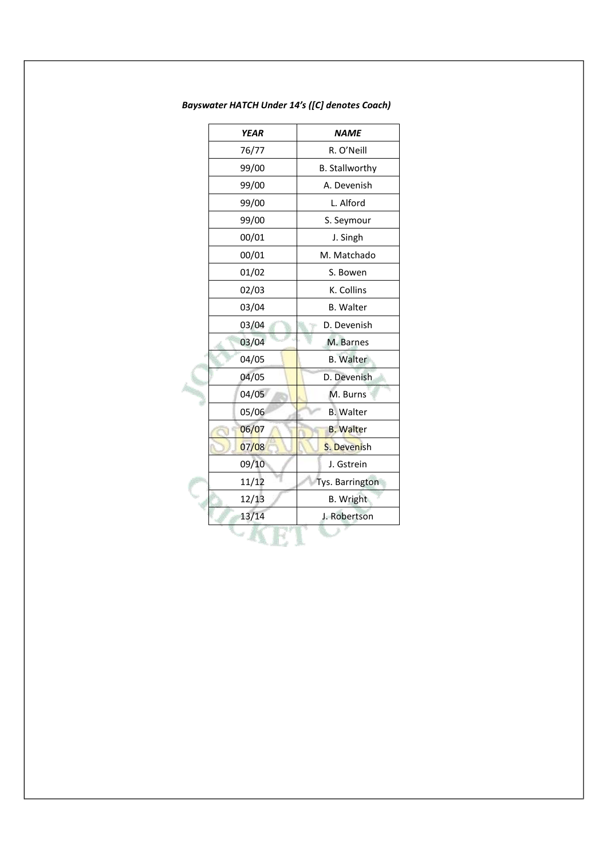| <b>YEAR</b> | <b>NAME</b>           |
|-------------|-----------------------|
| 76/77       | R. O'Neill            |
| 99/00       | <b>B. Stallworthy</b> |
| 99/00       | A. Devenish           |
| 99/00       | L. Alford             |
| 99/00       | S. Seymour            |
| 00/01       | J. Singh              |
| 00/01       | M. Matchado           |
| 01/02       | S. Bowen              |
| 02/03       | K. Collins            |
| 03/04       | <b>B.</b> Walter      |
| 03/04       | D. Devenish           |
| 03/04       | M. Barnes             |
| 04/05       | <b>B.</b> Walter      |
| 04/05       | D. Devenish           |
| 04/05       | M. Burns              |
| 05/06       | <b>B.</b> Walter      |
| 06/07       | <b>B. Walter</b>      |
| 07/08       | S. Devenish           |
| 09/10       | J. Gstrein            |
| 11/12       | Tys. Barrington       |
| 12/13       | B. Wright             |
| 13/14       | J. Robertson          |
|             |                       |

*Bayswater HATCH Under 14's ([C] denotes Coach)*